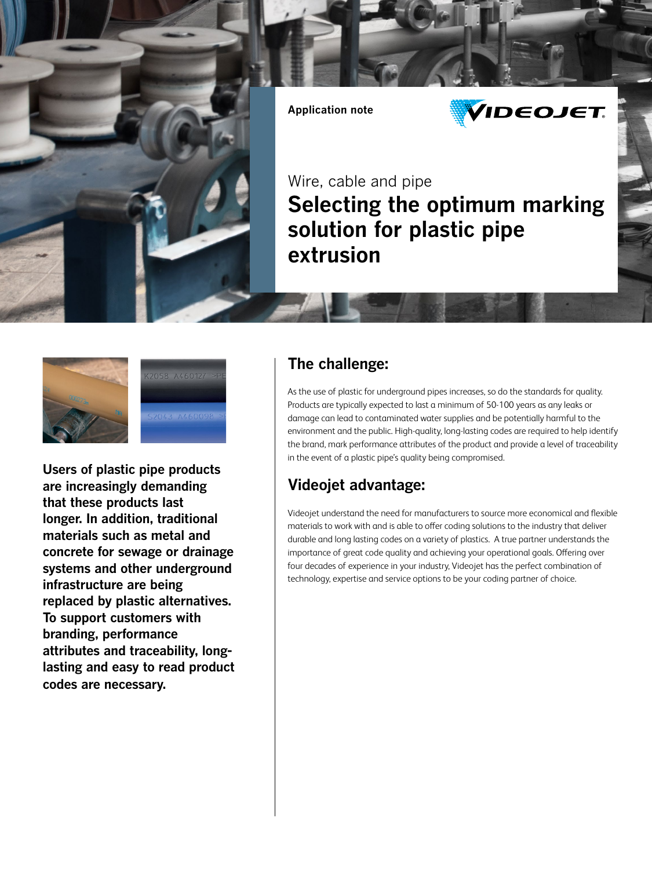

**Application note**



Wire, cable and pipe **Selecting the optimum marking solution for plastic pipe extrusion**



**Users of plastic pipe products are increasingly demanding that these products last longer. In addition, traditional materials such as metal and concrete for sewage or drainage systems and other underground infrastructure are being replaced by plastic alternatives. To support customers with branding, performance attributes and traceability, longlasting and easy to read product codes are necessary.**

## **The challenge:**

As the use of plastic for underground pipes increases, so do the standards for quality. Products are typically expected to last a minimum of 50-100 years as any leaks or damage can lead to contaminated water supplies and be potentially harmful to the environment and the public. High-quality, long-lasting codes are required to help identify the brand, mark performance attributes of the product and provide a level of traceability in the event of a plastic pipe's quality being compromised.

## **Videojet advantage:**

Videojet understand the need for manufacturers to source more economical and flexible materials to work with and is able to offer coding solutions to the industry that deliver durable and long lasting codes on a variety of plastics. A true partner understands the importance of great code quality and achieving your operational goals. Offering over four decades of experience in your industry, Videojet has the perfect combination of technology, expertise and service options to be your coding partner of choice.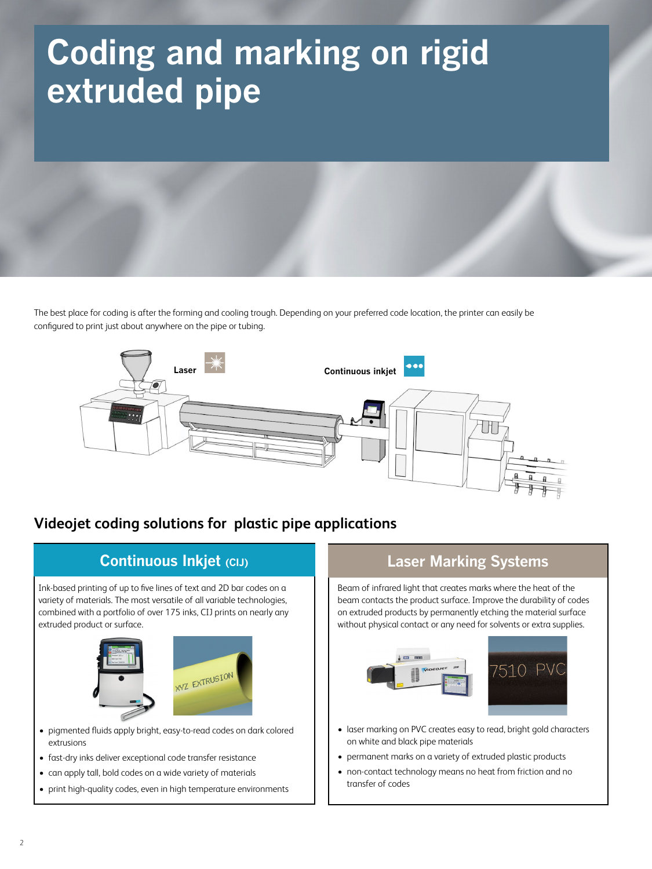# **Coding and marking on rigid extruded pipe**

The best place for coding is after the forming and cooling trough. Depending on your preferred code location, the printer can easily be configured to print just about anywhere on the pipe or tubing.



## **Videojet coding solutions for plastic pipe applications**



## **Laser Marking Systems**

Beam of infrared light that creates marks where the heat of the beam contacts the product surface. Improve the durability of codes on extruded products by permanently etching the material surface without physical contact or any need for solvents or extra supplies.



- laser marking on PVC creates easy to read, bright gold characters on white and black pipe materials
- permanent marks on a variety of extruded plastic products
- non-contact technology means no heat from friction and no transfer of codes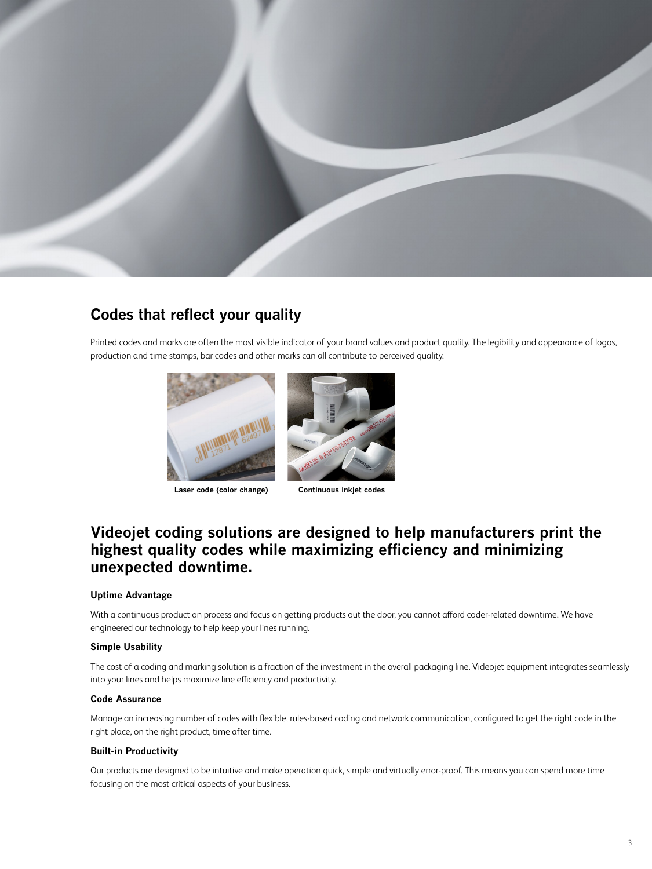

## **Codes that reflect your quality**

Printed codes and marks are often the most visible indicator of your brand values and product quality. The legibility and appearance of logos, production and time stamps, bar codes and other marks can all contribute to perceived quality.



**Laser code (color change) Continuous inkjet codes**



## **Videojet coding solutions are designed to help manufacturers print the highest quality codes while maximizing efficiency and minimizing unexpected downtime.**

#### **Uptime Advantage**

With a continuous production process and focus on getting products out the door, you cannot afford coder-related downtime. We have engineered our technology to help keep your lines running.

#### **Simple Usability**

The cost of a coding and marking solution is a fraction of the investment in the overall packaging line. Videojet equipment integrates seamlessly into your lines and helps maximize line efficiency and productivity.

#### **Code Assurance**

Manage an increasing number of codes with flexible, rules-based coding and network communication, configured to get the right code in the right place, on the right product, time after time.

#### **Built-in Productivity**

Our products are designed to be intuitive and make operation quick, simple and virtually error-proof. This means you can spend more time focusing on the most critical aspects of your business.